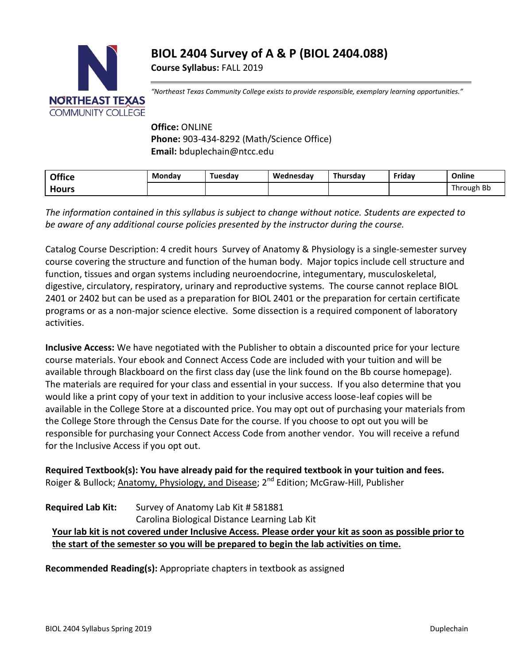# **BIOL 2404 Survey of A & P (BIOL 2404.088)**

**Course Syllabus:** FALL 2019



*"Northeast Texas Community College exists to provide responsible, exemplary learning opportunities."*

## **Office:** ONLINE **Phone:** 903-434-8292 (Math/Science Office) **Email:** bduplechain@ntcc.edu

| <b>Office</b> | Mondav | Tuesdav | Wednesdav | Thursdav | Fridav | Online     |
|---------------|--------|---------|-----------|----------|--------|------------|
| <b>Hours</b>  |        |         |           |          |        | Through Bb |

*The information contained in this syllabus is subject to change without notice. Students are expected to be aware of any additional course policies presented by the instructor during the course.*

Catalog Course Description: 4 credit hours Survey of Anatomy & Physiology is a single-semester survey course covering the structure and function of the human body. Major topics include cell structure and function, tissues and organ systems including neuroendocrine, integumentary, musculoskeletal, digestive, circulatory, respiratory, urinary and reproductive systems. The course cannot replace BIOL 2401 or 2402 but can be used as a preparation for BIOL 2401 or the preparation for certain certificate programs or as a non-major science elective. Some dissection is a required component of laboratory activities.

**Inclusive Access:** We have negotiated with the Publisher to obtain a discounted price for your lecture course materials. Your ebook and Connect Access Code are included with your tuition and will be available through Blackboard on the first class day (use the link found on the Bb course homepage). The materials are required for your class and essential in your success. If you also determine that you would like a print copy of your text in addition to your inclusive access loose-leaf copies will be available in the College Store at a discounted price. You may opt out of purchasing your materials from the College Store through the Census Date for the course. If you choose to opt out you will be responsible for purchasing your Connect Access Code from another vendor. You will receive a refund for the Inclusive Access if you opt out.

**Required Textbook(s): You have already paid for the required textbook in your tuition and fees.** Roiger & Bullock; Anatomy, Physiology, and Disease; 2<sup>nd</sup> Edition; McGraw-Hill, Publisher

### **Required Lab Kit:** Survey of Anatomy Lab Kit # 581881 Carolina Biological Distance Learning Lab Kit **Your lab kit is not covered under Inclusive Access. Please order your kit as soon as possible prior to the start of the semester so you will be prepared to begin the lab activities on time.**

**Recommended Reading(s):** Appropriate chapters in textbook as assigned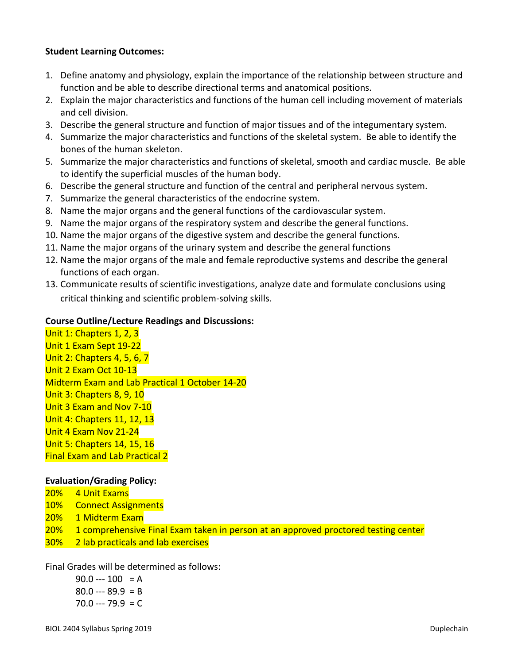#### **Student Learning Outcomes:**

- 1. Define anatomy and physiology, explain the importance of the relationship between structure and function and be able to describe directional terms and anatomical positions.
- 2. Explain the major characteristics and functions of the human cell including movement of materials and cell division.
- 3. Describe the general structure and function of major tissues and of the integumentary system.
- 4. Summarize the major characteristics and functions of the skeletal system. Be able to identify the bones of the human skeleton.
- 5. Summarize the major characteristics and functions of skeletal, smooth and cardiac muscle. Be able to identify the superficial muscles of the human body.
- 6. Describe the general structure and function of the central and peripheral nervous system.
- 7. Summarize the general characteristics of the endocrine system.
- 8. Name the major organs and the general functions of the cardiovascular system.
- 9. Name the major organs of the respiratory system and describe the general functions.
- 10. Name the major organs of the digestive system and describe the general functions.
- 11. Name the major organs of the urinary system and describe the general functions
- 12. Name the major organs of the male and female reproductive systems and describe the general functions of each organ.
- 13. Communicate results of scientific investigations, analyze date and formulate conclusions using critical thinking and scientific problem-solving skills.

#### **Course Outline/Lecture Readings and Discussions:**

Unit 1: Chapters 1, 2, 3 Unit 1 Exam Sept 19-22 Unit 2: Chapters 4, 5, 6, 7 Unit 2 Exam Oct 10-13 Midterm Exam and Lab Practical 1 October 14-20 Unit 3: Chapters 8, 9, 10 Unit 3 Exam and Nov 7-10 Unit 4: Chapters 11, 12, 13 Unit 4 Exam Nov 21-24 Unit 5: Chapters 14, 15, 16 Final Exam and Lab Practical 2

#### **Evaluation/Grading Policy:**

- 20% 4 Unit Exams
- 10% Connect Assignments
- 20% 1 Midterm Exam
- 20% 1 comprehensive Final Exam taken in person at an approved proctored testing center
- 30% 2 lab practicals and lab exercises

Final Grades will be determined as follows:

 $90.0 -- 100 = A$  $80.0 -- 89.9 = B$  $70.0 -- 79.9 = C$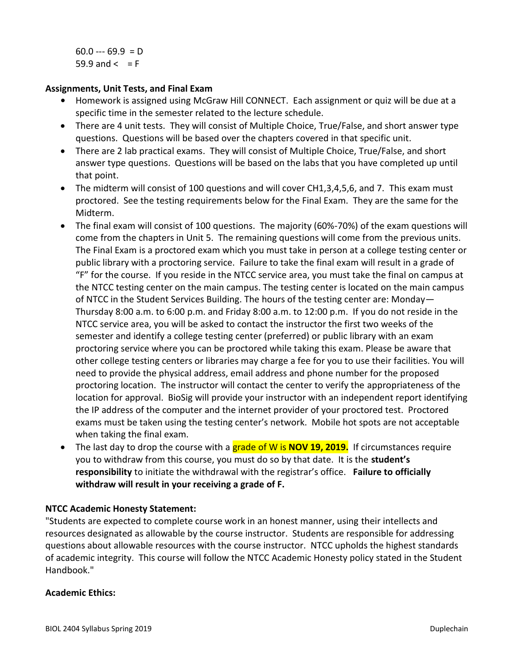$60.0 -- 69.9 = D$  $59.9$  and  $\lt$  = F

#### **Assignments, Unit Tests, and Final Exam**

- **•** Homework is assigned using McGraw Hill CONNECT. Each assignment or quiz will be due at a specific time in the semester related to the lecture schedule.
- There are 4 unit tests. They will consist of Multiple Choice, True/False, and short answer type questions. Questions will be based over the chapters covered in that specific unit.
- There are 2 lab practical exams. They will consist of Multiple Choice, True/False, and short answer type questions. Questions will be based on the labs that you have completed up until that point.
- The midterm will consist of 100 questions and will cover CH1,3,4,5,6, and 7. This exam must proctored. See the testing requirements below for the Final Exam. They are the same for the Midterm.
- The final exam will consist of 100 questions. The majority (60%-70%) of the exam questions will come from the chapters in Unit 5. The remaining questions will come from the previous units. The Final Exam is a proctored exam which you must take in person at a college testing center or public library with a proctoring service. Failure to take the final exam will result in a grade of "F" for the course. If you reside in the NTCC service area, you must take the final on campus at the NTCC testing center on the main campus. The testing center is located on the main campus of NTCC in the Student Services Building. The hours of the testing center are: Monday— Thursday 8:00 a.m. to 6:00 p.m. and Friday 8:00 a.m. to 12:00 p.m. If you do not reside in the NTCC service area, you will be asked to contact the instructor the first two weeks of the semester and identify a college testing center (preferred) or public library with an exam proctoring service where you can be proctored while taking this exam. Please be aware that other college testing centers or libraries may charge a fee for you to use their facilities. You will need to provide the physical address, email address and phone number for the proposed proctoring location. The instructor will contact the center to verify the appropriateness of the location for approval. BioSig will provide your instructor with an independent report identifying the IP address of the computer and the internet provider of your proctored test. Proctored exams must be taken using the testing center's network. Mobile hot spots are not acceptable when taking the final exam.
- The last day to drop the course with a grade of W is **NOV 19, 2019.** If circumstances require you to withdraw from this course, you must do so by that date. It is the **student's responsibility** to initiate the withdrawal with the registrar's office. **Failure to officially withdraw will result in your receiving a grade of F.**

#### **NTCC Academic Honesty Statement:**

"Students are expected to complete course work in an honest manner, using their intellects and resources designated as allowable by the course instructor. Students are responsible for addressing questions about allowable resources with the course instructor. NTCC upholds the highest standards of academic integrity. This course will follow the NTCC Academic Honesty policy stated in the Student Handbook."

#### **Academic Ethics:**